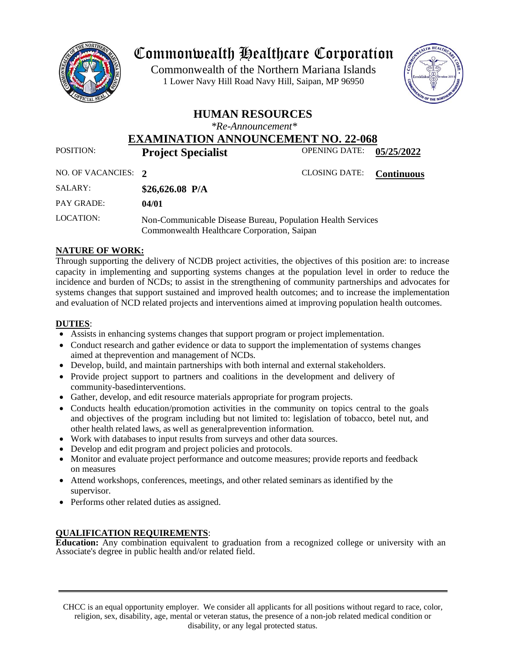

# Commonwealth Healthcare Corporation

 1 Lower Navy Hill Road Navy Hill, Saipan, MP 96950Commonwealth of the Northern Mariana Islands



# **HUMAN RESOURCES**

*\*Re-Announcement\**

**EXAMINATION ANNOUNCEMENT NO. 22-068**<br>Project Specialist COPENING DATE:

POSITION: **Project Specialist** OPENING DATE: **05/25/2022**

NO. OF VACANCIES: **2** CLOSING DATE: **Continuous**

| SALARY:    | \$26,626.08 $P/A$                                                                                          |
|------------|------------------------------------------------------------------------------------------------------------|
| PAY GRADE: | 04/01                                                                                                      |
| LOCATION:  | Non-Communicable Disease Bureau, Population Health Services<br>Commonwealth Healthcare Corporation, Saipan |

# **NATURE OF WORK:**

Through supporting the delivery of NCDB project activities, the objectives of this position are: to increase capacity in implementing and supporting systems changes at the population level in order to reduce the incidence and burden of NCDs; to assist in the strengthening of community partnerships and advocates for systems changes that support sustained and improved health outcomes; and to increase the implementation and evaluation of NCD related projects and interventions aimed at improving population health outcomes.

# **DUTIES**:

- Assists in enhancing systems changes that support program or project implementation.
- Conduct research and gather evidence or data to support the implementation of systems changes aimed at theprevention and management of NCDs.
- Develop, build, and maintain partnerships with both internal and external stakeholders.
- Provide project support to partners and coalitions in the development and delivery of community-basedinterventions.
- Gather, develop, and edit resource materials appropriate for program projects.
- Conducts health education/promotion activities in the community on topics central to the goals and objectives of the program including but not limited to: legislation of tobacco, betel nut, and other health related laws, as well as generalprevention information.
- Work with databases to input results from surveys and other data sources.
- Develop and edit program and project policies and protocols.
- Monitor and evaluate project performance and outcome measures; provide reports and feedback on measures
- Attend workshops, conferences, meetings, and other related seminars as identified by the supervisor.
- Performs other related duties as assigned.

# **QUALIFICATION REQUIREMENTS**:

**Education:** Any combination equivalent to graduation from a recognized college or university with an Associate's degree in public health and/or related field.

CHCC is an equal opportunity employer. We consider all applicants for all positions without regard to race, color, religion, sex, disability, age, mental or veteran status, the presence of a non-job related medical condition or disability, or any legal protected status.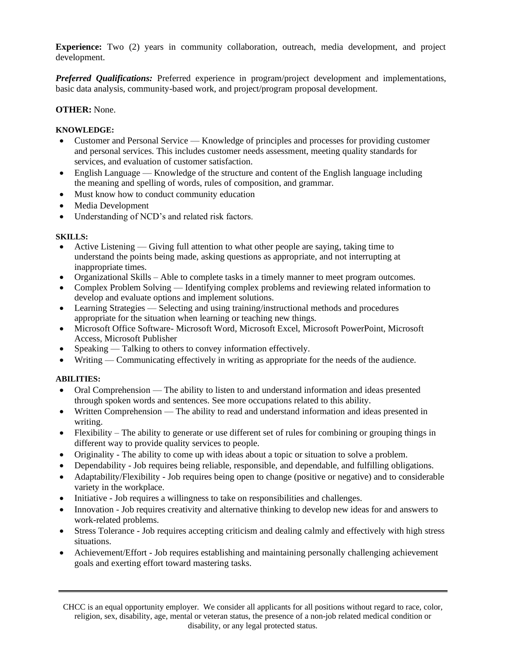**Experience:** Two (2) years in community collaboration, outreach, media development, and project development.

*Preferred Qualifications:* Preferred experience in program/project development and implementations, basic data analysis, community-based work, and project/program proposal development.

#### **OTHER:** None.

#### **KNOWLEDGE:**

- Customer and Personal Service Knowledge of principles and processes for providing customer and personal services. This includes customer needs assessment, meeting quality standards for services, and evaluation of customer satisfaction.
- English Language Knowledge of the structure and content of the English language including the meaning and spelling of words, rules of composition, and grammar.
- Must know how to conduct community education
- Media Development
- Understanding of NCD's and related risk factors.

#### **SKILLS:**

- Active Listening Giving full attention to what other people are saying, taking time to understand the points being made, asking questions as appropriate, and not interrupting at inappropriate times.
- Organizational Skills Able to complete tasks in a timely manner to meet program outcomes.
- Complex Problem Solving Identifying complex problems and reviewing related information to develop and evaluate options and implement solutions.
- Learning Strategies Selecting and using training/instructional methods and procedures appropriate for the situation when learning or teaching new things.
- Microsoft Office Software- Microsoft Word, Microsoft Excel, Microsoft PowerPoint, Microsoft Access, Microsoft Publisher
- Speaking Talking to others to convey information effectively.
- Writing Communicating effectively in writing as appropriate for the needs of the audience.

#### **ABILITIES:**

- Oral Comprehension The ability to listen to and understand information and ideas presented through spoken words and sentences. See more occupations related to this ability.
- Written Comprehension The ability to read and understand information and ideas presented in writing.
- Flexibility The ability to generate or use different set of rules for combining or grouping things in different way to provide quality services to people.
- Originality The ability to come up with ideas about a topic or situation to solve a problem.
- Dependability Job requires being reliable, responsible, and dependable, and fulfilling obligations.
- Adaptability/Flexibility Job requires being open to change (positive or negative) and to considerable variety in the workplace.
- Initiative Job requires a willingness to take on responsibilities and challenges.
- Innovation Job requires creativity and alternative thinking to develop new ideas for and answers to work-related problems.
- Stress Tolerance Job requires accepting criticism and dealing calmly and effectively with high stress situations.
- Achievement/Effort Job requires establishing and maintaining personally challenging achievement goals and exerting effort toward mastering tasks.

CHCC is an equal opportunity employer. We consider all applicants for all positions without regard to race, color, religion, sex, disability, age, mental or veteran status, the presence of a non-job related medical condition or disability, or any legal protected status.